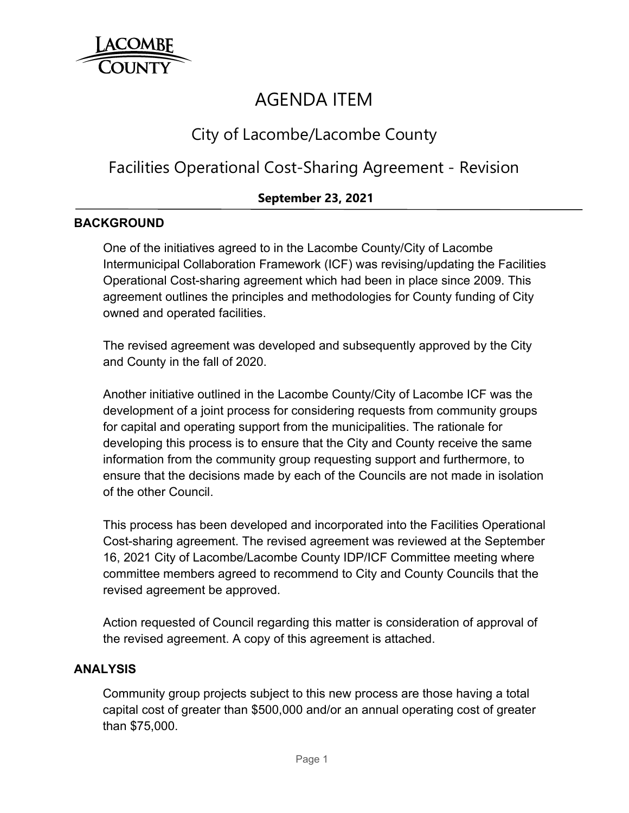

# AGENDA ITEM

# City of Lacombe/Lacombe County

# Facilities Operational Cost-Sharing Agreement - Revision

# **September 23, 2021**

### **BACKGROUND**

One of the initiatives agreed to in the Lacombe County/City of Lacombe Intermunicipal Collaboration Framework (ICF) was revising/updating the Facilities Operational Cost-sharing agreement which had been in place since 2009. This agreement outlines the principles and methodologies for County funding of City owned and operated facilities.

The revised agreement was developed and subsequently approved by the City and County in the fall of 2020.

Another initiative outlined in the Lacombe County/City of Lacombe ICF was the development of a joint process for considering requests from community groups for capital and operating support from the municipalities. The rationale for developing this process is to ensure that the City and County receive the same information from the community group requesting support and furthermore, to ensure that the decisions made by each of the Councils are not made in isolation of the other Council.

This process has been developed and incorporated into the Facilities Operational Cost-sharing agreement. The revised agreement was reviewed at the September 16, 2021 City of Lacombe/Lacombe County IDP/ICF Committee meeting where committee members agreed to recommend to City and County Councils that the revised agreement be approved.

Action requested of Council regarding this matter is consideration of approval of the revised agreement. A copy of this agreement is attached.

#### **ANALYSIS**

Community group projects subject to this new process are those having a total capital cost of greater than \$500,000 and/or an annual operating cost of greater than \$75,000.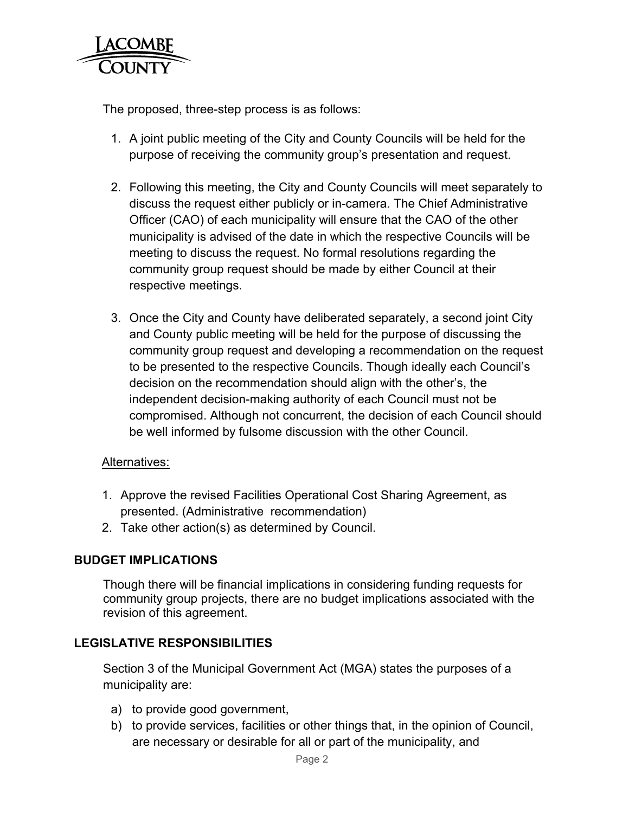

The proposed, three-step process is as follows:

- 1. A joint public meeting of the City and County Councils will be held for the purpose of receiving the community group's presentation and request.
- 2. Following this meeting, the City and County Councils will meet separately to discuss the request either publicly or in-camera. The Chief Administrative Officer (CAO) of each municipality will ensure that the CAO of the other municipality is advised of the date in which the respective Councils will be meeting to discuss the request. No formal resolutions regarding the community group request should be made by either Council at their respective meetings.
- 3. Once the City and County have deliberated separately, a second joint City and County public meeting will be held for the purpose of discussing the community group request and developing a recommendation on the request to be presented to the respective Councils. Though ideally each Council's decision on the recommendation should align with the other's, the independent decision-making authority of each Council must not be compromised. Although not concurrent, the decision of each Council should be well informed by fulsome discussion with the other Council.

#### Alternatives:

- 1. Approve the revised Facilities Operational Cost Sharing Agreement, as presented. (Administrative recommendation)
- 2. Take other action(s) as determined by Council.

# **BUDGET IMPLICATIONS**

Though there will be financial implications in considering funding requests for community group projects, there are no budget implications associated with the revision of this agreement.

# **LEGISLATIVE RESPONSIBILITIES**

Section 3 of the Municipal Government Act (MGA) states the purposes of a municipality are:

- a) to provide good government,
- b) to provide services, facilities or other things that, in the opinion of Council, are necessary or desirable for all or part of the municipality, and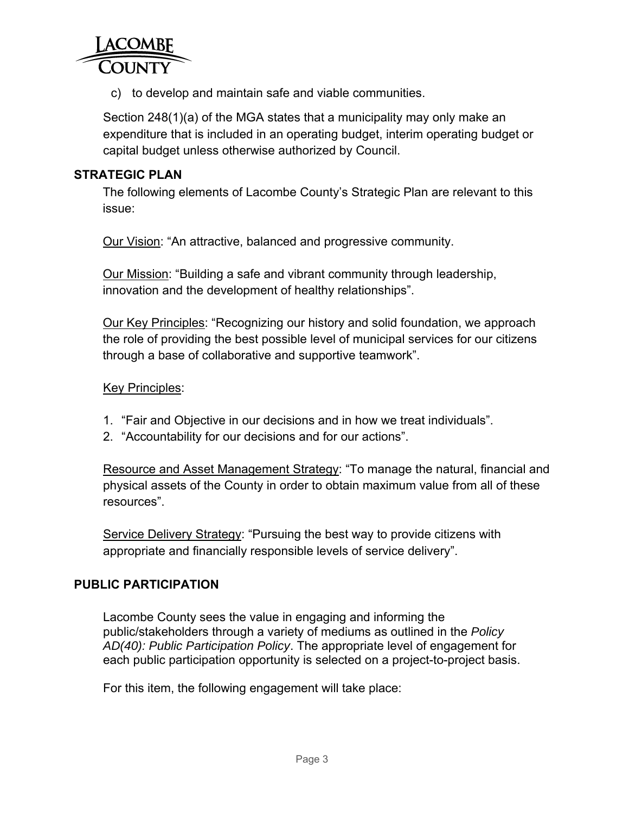

c) to develop and maintain safe and viable communities.

Section 248(1)(a) of the MGA states that a municipality may only make an expenditure that is included in an operating budget, interim operating budget or capital budget unless otherwise authorized by Council.

### **STRATEGIC PLAN**

The following elements of Lacombe County's Strategic Plan are relevant to this issue:

Our Vision: "An attractive, balanced and progressive community.

Our Mission: "Building a safe and vibrant community through leadership, innovation and the development of healthy relationships".

Our Key Principles: "Recognizing our history and solid foundation, we approach the role of providing the best possible level of municipal services for our citizens through a base of collaborative and supportive teamwork".

#### Key Principles:

- 1. "Fair and Objective in our decisions and in how we treat individuals".
- 2. "Accountability for our decisions and for our actions".

Resource and Asset Management Strategy: "To manage the natural, financial and physical assets of the County in order to obtain maximum value from all of these resources".

Service Delivery Strategy: "Pursuing the best way to provide citizens with appropriate and financially responsible levels of service delivery".

#### **PUBLIC PARTICIPATION**

Lacombe County sees the value in engaging and informing the public/stakeholders through a variety of mediums as outlined in the *Policy AD(40): Public Participation Policy*. The appropriate level of engagement for each public participation opportunity is selected on a project-to-project basis.

For this item, the following engagement will take place: